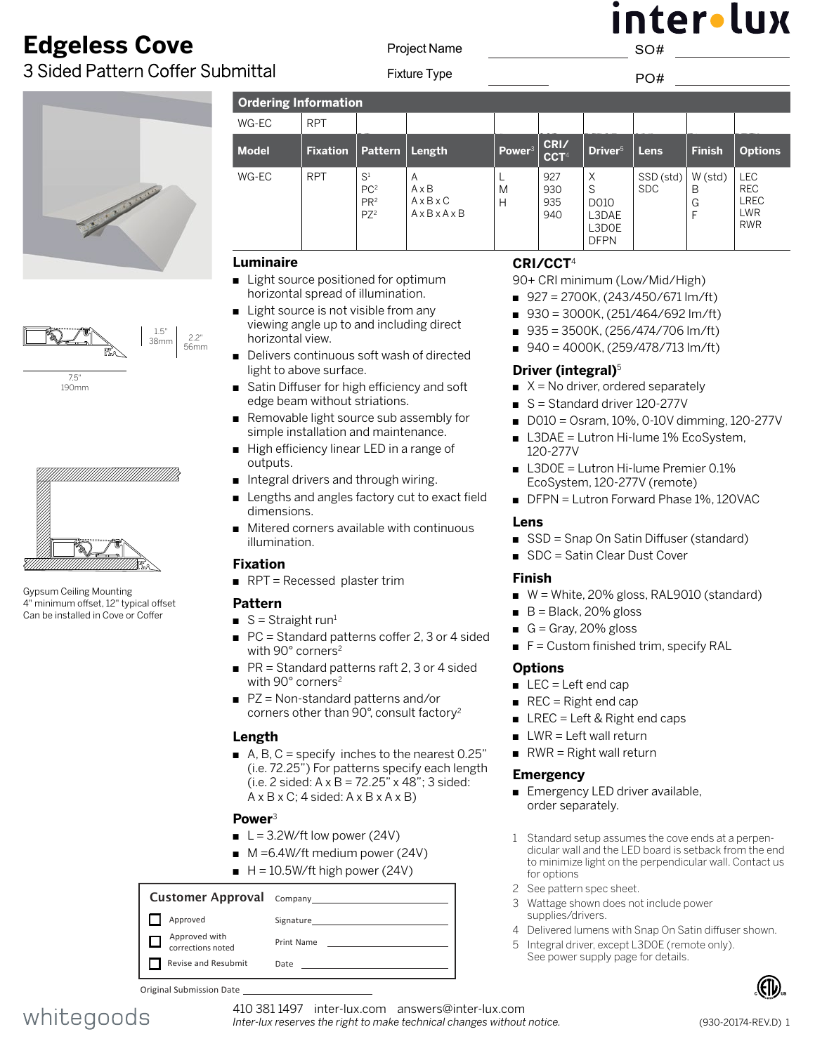# **Edgeless Cove**

3 Sided Pattern Coffer Submittal





7.5" 190mm



Gypsum Ceiling Mounting 4" minimum offset, 12" typical offset Can be installed in Cove or Coffer

**Ordering Information**  WG-EC **Model Fixation Pattern Length Power**<sup>3</sup> **CRI/**  $WG-EC$ PC<sup>2</sup> PR2 PZ2 A A x B A x B x C A x B x A x B L M H 927 930 935 940 X S D010 L3DAE L3D0E DFPN SSD (std) SDC W (std) B G F LEC REC LREC LWR RWR  $\mathcal{S}$  and  $\mathcal{S}$  and  $\mathcal{S}$  and  $\mathcal{S}$  and  $\mathcal{S}$  and  $\mathcal{S}$  and  $\mathcal{S}$  and  $\mathcal{S}$  and  $\mathcal{S}$  and  $\mathcal{S}$  and  $\mathcal{S}$  and  $\mathcal{S}$  and  $\mathcal{S}$  and  $\mathcal{S}$  and  $\mathcal{S}$  and  $\mathcal{S}$  and  $\mathcal{S}$  and

Project Name

#### **[Luminaire](DBF_Luminaire Title)**

2.2" 56mm

- Light source positioned for optimum horizontal spread of illumination.
- $\blacksquare$  Light source is not visible from any viewing angle up to and including direct horizontal view.
- Delivers continuous soft wash of directed light to above surface.
- Satin Diffuser for high efficiency and soft edge beam without striations.
- Removable light source sub assembly for simple installation and maintenance.
- High efficiency linear LED in a range of outputs.
- n Integral drivers and through wiring.
- Lengths and angles factory cut to exact field dimensions.
- $\blacksquare$  Mitered corners available with continuous illumination.

#### **Fixation**

 $RPT = Recessed$  $RPT = Recessed$  $RPT = Recessed$  plaster trim

#### **Pattern**

- $S =$  Straight run<sup>1</sup>
- $\blacksquare$  PC = Standard patterns coffer 2, 3 or 4 sided with 90° corners<sup>2</sup>
- $PR = Standard patterns$  raft 2, 3 or 4 sided with 90° corners<sup>2</sup>
- $PZ = Non-standard patterns and/or$ corners other than 90°, consult factory2

#### **[Length](DBF_Length Title)**

A, B, C = specify inches to the nearest  $0.25$ " (i.e. 72.25") For patterns specify each length (i.e. 2 sided:  $A \times B = 72.25$ "  $\times$  48"; 3 sided:  $A \times B \times C$ ; 4 sided:  $A \times B \times A \times B$ )

#### **Power**<sup>3</sup>

- $L = 3.2W/ft$  low power (24V)
- $M = 6.4W/\text{ft}$  medium power (24V)
- $H = 10.5W/ft$  high power (24V)

#### Customer Approval Company Approved Signature Approved with □ Print Name corrections noted Revise and Resubmit Date

Original Submission Date



# nter•lux SO#

Fixture Type **PO#** 

| <b>RPT</b>      |                                                       |                                                                              |                    |                          |                                                 |                         |                        |                                                                     |
|-----------------|-------------------------------------------------------|------------------------------------------------------------------------------|--------------------|--------------------------|-------------------------------------------------|-------------------------|------------------------|---------------------------------------------------------------------|
| <b>Fixation</b> | <b>Pattern</b>                                        | Length                                                                       | Power <sup>3</sup> | CRI/<br>CCT <sup>4</sup> | Driver <sup>5</sup>                             | Lens                    | <b>Finish</b>          | <b>Options</b>                                                      |
| <b>RPT</b>      | $S^1$<br>PC <sup>2</sup><br>PR <sup>2</sup><br>$PZ^2$ | A<br>$A \times B$<br>$A \times B \times C$<br>$A \times B \times A \times B$ | M<br>Н             | 927<br>930<br>935<br>940 | X<br>S<br>D010<br>L3DAE<br>L3D0E<br><b>DFPN</b> | SSD (std)<br><b>SDC</b> | W (std)<br>B<br>G<br>F | <b>LEC</b><br><b>REC</b><br><b>LREC</b><br><b>LWR</b><br><b>RWR</b> |

### **[CR](DBF_Color / Lumens Title)I/CCT**<sup>4</sup>

90+ CRI minimum (Low/Mid/High)

- $927 = 2700K$ , (243/450/671 lm/ft)
- $930 = 3000K$ , (251/464/692 lm/ft)
- $935 = 3500K$ , (256/474/706 lm/ft)
- $940 = 4000K$ , (259/478/713 lm/ft)

#### **Driver [\(integral\)](DBF_Power Supply Title)**<sup>5</sup>

- $\blacksquare$  X = No driver, ordered separately
- S = Standard driver 120-277V
- $\Box$  D010 = Osram, 10%, 0-10V dimming, 120-277V
- L3DAE = Lutron Hi-lume 1% EcoSystem, 120-277V
- L3D0E = Lutron Hi-lume Premier 0.1% EcoSystem, 120-277V (remote)
- DFPN = Lutron Forward Phase 1%, 120VAC

#### **Lens**

- SSD = Snap On Satin Diffuser (standard)
- SDC = Satin Clear Dust Cover

#### **Finish**

- $W =$  White, 20% gloss, RAL9010 (standard)
- $\blacksquare$  B = Black, 20% gloss
- G = Gray, 20% gloss
- $F =$  Custom finished trim, specify RAL

#### **[Options](DBF_Options Title)**

- $LEC = Left end cap$
- $\blacksquare$  REC = Right end cap
- $\blacksquare$  LREC = Left & Right end caps
- $\blacksquare$  LWR = Left wall return
- $\blacksquare$  RWR = Right wall return

#### **Emergency**

- Emergency LED driver available, order separately.
- 1 Standard setup assumes the cove ends at a perpendicular wall and the LED board is setback from the end to minimize light on the perpendicular wall. Contact us for options
- 2 See pattern spec sheet.
- 3 Wattage shown does not include power supplies/drivers.
- 4 Delivered lumens with Snap On Satin diffuser shown.
- 5 Integral driver, except L3D0E (remote only). See power supply page for details.



410 381 1497 inter-lux.com answers@inter-lux.com *Inter-lux reserves the right to make technical changes without notice.*